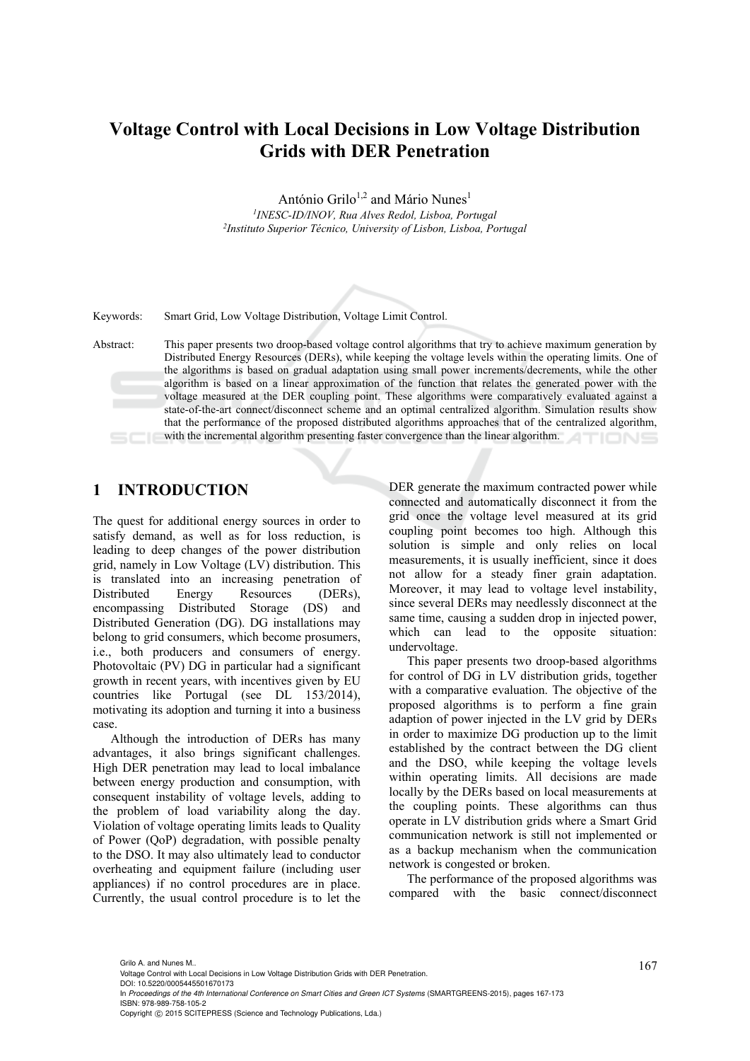## **Voltage Control with Local Decisions in Low Voltage Distribution Grids with DER Penetration**

António Grilo<sup>1,2</sup> and Mário Nunes<sup>1</sup><br><sup>1</sup>INESC-ID/INOV, Rua Alves Redol, Lisboa, Portugal *1INESC-ID/INOV, Rua Alves Redol, Lisboa, Portugal 2Instituto Superior Técnico, University of Lisbon, Lisboa, Portugal* 

Keywords: Smart Grid, Low Voltage Distribution, Voltage Limit Control.

Abstract: This paper presents two droop-based voltage control algorithms that try to achieve maximum generation by Distributed Energy Resources (DERs), while keeping the voltage levels within the operating limits. One of the algorithms is based on gradual adaptation using small power increments/decrements, while the other algorithm is based on a linear approximation of the function that relates the generated power with the voltage measured at the DER coupling point. These algorithms were comparatively evaluated against a state-of-the-art connect/disconnect scheme and an optimal centralized algorithm. Simulation results show that the performance of the proposed distributed algorithms approaches that of the centralized algorithm, with the incremental algorithm presenting faster convergence than the linear algorithm.

## **1 INTRODUCTION**

The quest for additional energy sources in order to satisfy demand, as well as for loss reduction, is leading to deep changes of the power distribution grid, namely in Low Voltage (LV) distribution. This is translated into an increasing penetration of Distributed Energy Resources (DERs), encompassing Distributed Storage (DS) and Distributed Generation (DG). DG installations may belong to grid consumers, which become prosumers, i.e., both producers and consumers of energy. Photovoltaic (PV) DG in particular had a significant growth in recent years, with incentives given by EU countries like Portugal (see DL 153/2014), motivating its adoption and turning it into a business case.

Although the introduction of DERs has many advantages, it also brings significant challenges. High DER penetration may lead to local imbalance between energy production and consumption, with consequent instability of voltage levels, adding to the problem of load variability along the day. Violation of voltage operating limits leads to Quality of Power (QoP) degradation, with possible penalty to the DSO. It may also ultimately lead to conductor overheating and equipment failure (including user appliances) if no control procedures are in place. Currently, the usual control procedure is to let the

DER generate the maximum contracted power while connected and automatically disconnect it from the grid once the voltage level measured at its grid coupling point becomes too high. Although this solution is simple and only relies on local measurements, it is usually inefficient, since it does not allow for a steady finer grain adaptation. Moreover, it may lead to voltage level instability, since several DERs may needlessly disconnect at the same time, causing a sudden drop in injected power, which can lead to the opposite situation: undervoltage.

This paper presents two droop-based algorithms for control of DG in LV distribution grids, together with a comparative evaluation. The objective of the proposed algorithms is to perform a fine grain adaption of power injected in the LV grid by DERs in order to maximize DG production up to the limit established by the contract between the DG client and the DSO, while keeping the voltage levels within operating limits. All decisions are made locally by the DERs based on local measurements at the coupling points. These algorithms can thus operate in LV distribution grids where a Smart Grid communication network is still not implemented or as a backup mechanism when the communication network is congested or broken.

The performance of the proposed algorithms was compared with the basic connect/disconnect

DOI: 10.5220/0005445501670173

In *Proceedings of the 4th International Conference on Smart Cities and Green ICT Systems* (SMARTGREENS-2015), pages 167-173 ISBN: 978-989-758-105-2

Grilo A. and Nunes M..<br>Voltage Control with Local Decisions in Low Voltage Distribution Grids with DER Penetration.

Copyright © 2015 SCITEPRESS (Science and Technology Publications, Lda.)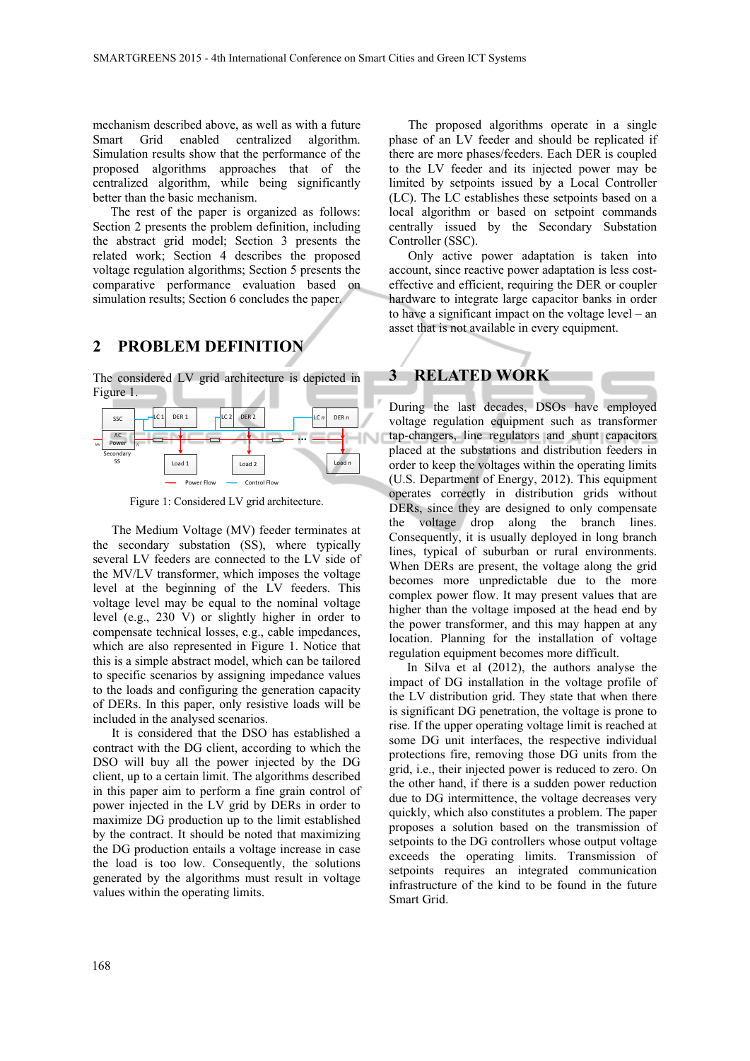mechanism described above, as well as with a future Smart Grid enabled centralized algorithm. Simulation results show that the performance of the proposed algorithms approaches that of the centralized algorithm, while being significantly better than the basic mechanism.

The rest of the paper is organized as follows: Section 2 presents the problem definition, including the abstract grid model; Section 3 presents the related work; Section 4 describes the proposed voltage regulation algorithms; Section 5 presents the comparative performance evaluation based on simulation results; Section 6 concludes the paper.

## **2 PROBLEM DEFINITION**

The considered LV grid architecture is depicted in Figure 1.



Figure 1: Considered LV grid architecture.

The Medium Voltage (MV) feeder terminates at the secondary substation (SS), where typically several LV feeders are connected to the LV side of the MV/LV transformer, which imposes the voltage level at the beginning of the LV feeders. This voltage level may be equal to the nominal voltage level (e.g., 230 V) or slightly higher in order to compensate technical losses, e.g., cable impedances, which are also represented in Figure 1. Notice that this is a simple abstract model, which can be tailored to specific scenarios by assigning impedance values to the loads and configuring the generation capacity of DERs. In this paper, only resistive loads will be included in the analysed scenarios.

It is considered that the DSO has established a contract with the DG client, according to which the DSO will buy all the power injected by the DG client, up to a certain limit. The algorithms described in this paper aim to perform a fine grain control of power injected in the LV grid by DERs in order to maximize DG production up to the limit established by the contract. It should be noted that maximizing the DG production entails a voltage increase in case the load is too low. Consequently, the solutions generated by the algorithms must result in voltage values within the operating limits.

The proposed algorithms operate in a single phase of an LV feeder and should be replicated if there are more phases/feeders. Each DER is coupled to the LV feeder and its injected power may be limited by setpoints issued by a Local Controller (LC). The LC establishes these setpoints based on a local algorithm or based on setpoint commands centrally issued by the Secondary Substation Controller (SSC).

Only active power adaptation is taken into account, since reactive power adaptation is less costeffective and efficient, requiring the DER or coupler hardware to integrate large capacitor banks in order to have a significant impact on the voltage level – an asset that is not available in every equipment.

# **3 RELATED WORK**

During the last decades, DSOs have employed voltage regulation equipment such as transformer tap-changers, line regulators and shunt capacitors placed at the substations and distribution feeders in order to keep the voltages within the operating limits (U.S. Department of Energy, 2012). This equipment operates correctly in distribution grids without DERs, since they are designed to only compensate the voltage drop along the branch lines. Consequently, it is usually deployed in long branch lines, typical of suburban or rural environments. When DERs are present, the voltage along the grid becomes more unpredictable due to the more complex power flow. It may present values that are higher than the voltage imposed at the head end by the power transformer, and this may happen at any location. Planning for the installation of voltage regulation equipment becomes more difficult.

In Silva et al (2012), the authors analyse the impact of DG installation in the voltage profile of the LV distribution grid. They state that when there is significant DG penetration, the voltage is prone to rise. If the upper operating voltage limit is reached at some DG unit interfaces, the respective individual protections fire, removing those DG units from the grid, i.e., their injected power is reduced to zero. On the other hand, if there is a sudden power reduction due to DG intermittence, the voltage decreases very quickly, which also constitutes a problem. The paper proposes a solution based on the transmission of setpoints to the DG controllers whose output voltage exceeds the operating limits. Transmission of setpoints requires an integrated communication infrastructure of the kind to be found in the future Smart Grid.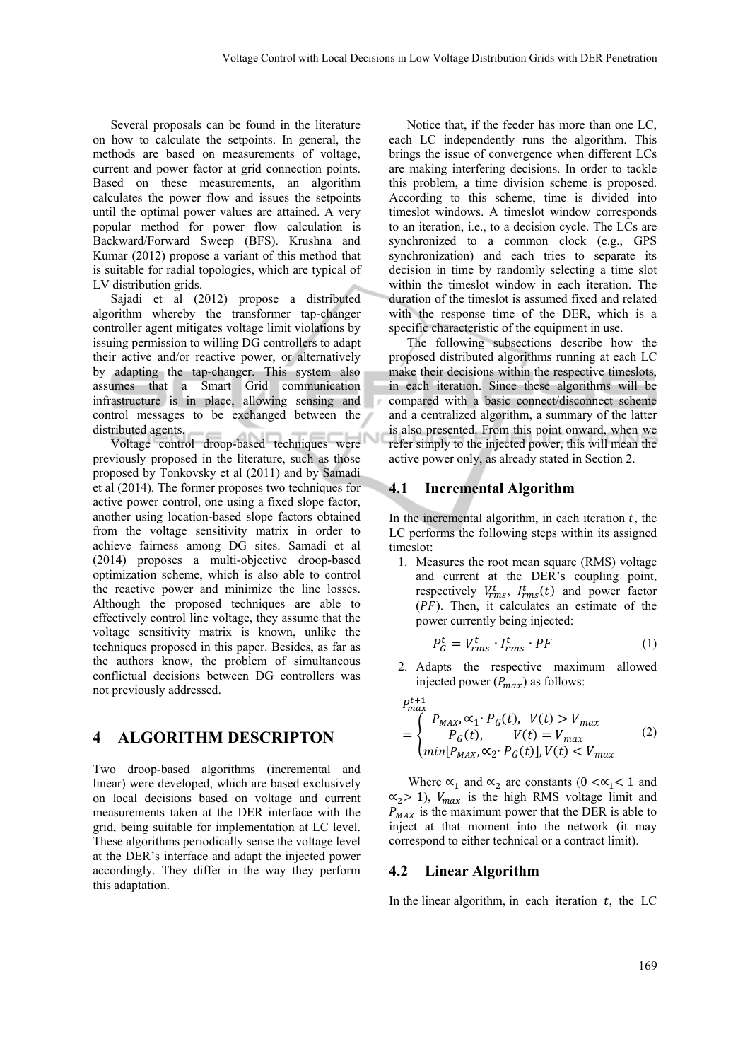Several proposals can be found in the literature on how to calculate the setpoints. In general, the methods are based on measurements of voltage, current and power factor at grid connection points. Based on these measurements, an algorithm calculates the power flow and issues the setpoints until the optimal power values are attained. A very popular method for power flow calculation is Backward/Forward Sweep (BFS). Krushna and Kumar (2012) propose a variant of this method that is suitable for radial topologies, which are typical of LV distribution grids.

Sajadi et al (2012) propose a distributed algorithm whereby the transformer tap-changer controller agent mitigates voltage limit violations by issuing permission to willing DG controllers to adapt their active and/or reactive power, or alternatively by adapting the tap-changer. This system also assumes that a Smart Grid communication infrastructure is in place, allowing sensing and control messages to be exchanged between the distributed agents.

Voltage control droop-based techniques were previously proposed in the literature, such as those proposed by Tonkovsky et al (2011) and by Samadi et al (2014). The former proposes two techniques for active power control, one using a fixed slope factor, another using location-based slope factors obtained from the voltage sensitivity matrix in order to achieve fairness among DG sites. Samadi et al (2014) proposes a multi-objective droop-based optimization scheme, which is also able to control the reactive power and minimize the line losses. Although the proposed techniques are able to effectively control line voltage, they assume that the voltage sensitivity matrix is known, unlike the techniques proposed in this paper. Besides, as far as the authors know, the problem of simultaneous conflictual decisions between DG controllers was not previously addressed.

### **4 ALGORITHM DESCRIPTON**

Two droop-based algorithms (incremental and linear) were developed, which are based exclusively on local decisions based on voltage and current measurements taken at the DER interface with the grid, being suitable for implementation at LC level. These algorithms periodically sense the voltage level at the DER's interface and adapt the injected power accordingly. They differ in the way they perform this adaptation.

Notice that, if the feeder has more than one LC, each LC independently runs the algorithm. This brings the issue of convergence when different LCs are making interfering decisions. In order to tackle this problem, a time division scheme is proposed. According to this scheme, time is divided into timeslot windows. A timeslot window corresponds to an iteration, i.e., to a decision cycle. The LCs are synchronized to a common clock (e.g., GPS synchronization) and each tries to separate its decision in time by randomly selecting a time slot within the timeslot window in each iteration. The duration of the timeslot is assumed fixed and related with the response time of the DER, which is a specific characteristic of the equipment in use.

The following subsections describe how the proposed distributed algorithms running at each LC make their decisions within the respective timeslots, in each iteration. Since these algorithms will be compared with a basic connect/disconnect scheme and a centralized algorithm, a summary of the latter is also presented. From this point onward, when we refer simply to the injected power, this will mean the active power only, as already stated in Section 2.

#### **4.1 Incremental Algorithm**

In the incremental algorithm, in each iteration  $t$ , the LC performs the following steps within its assigned timeslot:

1. Measures the root mean square (RMS) voltage and current at the DER's coupling point, respectively  $V_{rms}^t$ ,  $I_{rms}^t(t)$  and power factor  $(PF)$ . Then, it calculates an estimate of the power currently being injected:

$$
P_G^t = V_{rms}^t \cdot I_{rms}^t \cdot PF \tag{1}
$$

2. Adapts the respective maximum allowed injected power  $(P_{max})$  as follows:

 $P_{max}^{t+1}$ 

$$
= \begin{cases} P_{MAX} \propto_1 \cdot P_G(t), & V(t) > V_{max} \\ P_G(t), & V(t) = V_{max} \\ min[P_{MAX}, \propto_2 \cdot P_G(t)], & V(t) < V_{max} \end{cases}
$$
 (2)

Where  $\alpha_1$  and  $\alpha_2$  are constants (0 < $\alpha_1$ < 1 and  $\alpha_2$  > 1),  $V_{max}$  is the high RMS voltage limit and  $P_{MAX}$  is the maximum power that the DER is able to inject at that moment into the network (it may correspond to either technical or a contract limit).

#### **4.2 Linear Algorithm**

In the linear algorithm, in each iteration  $t$ , the LC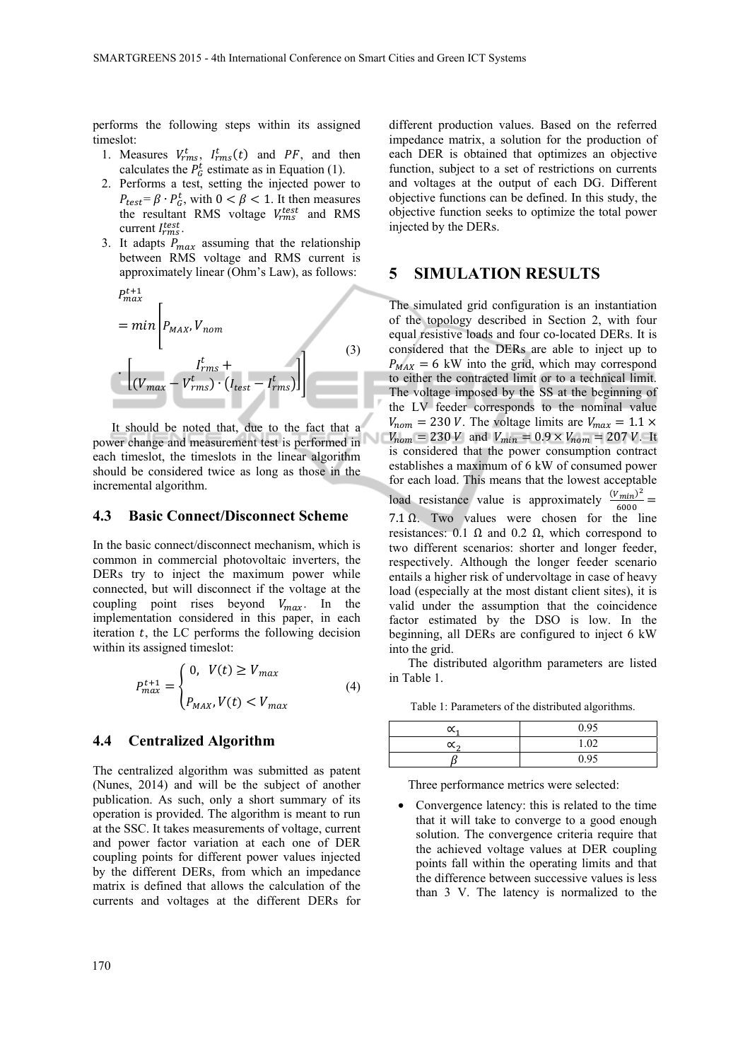performs the following steps within its assigned timeslot:

- 1. Measures  $V_{rms}^t$ ,  $I_{rms}^t(t)$  and PF, and then calculates the  $P_G^t$  estimate as in Equation (1).
- 2. Performs a test, setting the injected power to  $P_{test} = \beta \cdot P_G^t$ , with  $0 < \beta < 1$ . It then measures the resultant RMS voltage  $V_{rms}^{test}$  and RMS current  $I_{rms}^{test}$ .
- 3. It adapts  $P_{max}$  assuming that the relationship between RMS voltage and RMS current is approximately linear (Ohm's Law), as follows:

$$
P_{max}^{t+1}
$$
\n
$$
= min \left[ P_{MAX}, V_{nom} \right]
$$
\n
$$
\cdot \left[ (V_{max} - V_{rms}^t) \cdot (I_{test} - I_{rms}^t) \right]
$$
\n(3)

It should be noted that, due to the fact that a power change and measurement test is performed in each timeslot, the timeslots in the linear algorithm should be considered twice as long as those in the incremental algorithm.

#### **4.3 Basic Connect/Disconnect Scheme**

In the basic connect/disconnect mechanism, which is common in commercial photovoltaic inverters, the DERs try to inject the maximum power while connected, but will disconnect if the voltage at the coupling point rises beyond  $V_{max}$ . In the implementation considered in this paper, in each iteration  $t$ , the LC performs the following decision within its assigned timeslot:

$$
P_{max}^{t+1} = \begin{cases} 0, & V(t) \ge V_{max} \\ P_{max}, & V(t) < V_{max} \end{cases}
$$
(4)

#### **4.4 Centralized Algorithm**

The centralized algorithm was submitted as patent (Nunes, 2014) and will be the subject of another publication. As such, only a short summary of its operation is provided. The algorithm is meant to run at the SSC. It takes measurements of voltage, current and power factor variation at each one of DER coupling points for different power values injected by the different DERs, from which an impedance matrix is defined that allows the calculation of the currents and voltages at the different DERs for

different production values. Based on the referred impedance matrix, a solution for the production of each DER is obtained that optimizes an objective function, subject to a set of restrictions on currents and voltages at the output of each DG. Different objective functions can be defined. In this study, the objective function seeks to optimize the total power injected by the DERs.

#### **5 SIMULATION RESULTS**

The simulated grid configuration is an instantiation of the topology described in Section 2, with four equal resistive loads and four co-located DERs. It is considered that the DERs are able to inject up to  $P_{MAX}$  = 6 kW into the grid, which may correspond to either the contracted limit or to a technical limit. The voltage imposed by the SS at the beginning of the LV feeder corresponds to the nominal value  $V_{nom} = 230$  V. The voltage limits are  $V_{max} = 1.1 \times$  $V_{nom} = 230 \, V$  and  $V_{min} = 0.9 \times V_{nom} = 207 \, V$ . It is considered that the power consumption contract establishes a maximum of 6 kW of consumed power for each load. This means that the lowest acceptable load resistance value is approximately  $\frac{(V_{min})^2}{6000}$  = 7.1 Ω. Two values were chosen for the line resistances: 0.1 Ω and 0.2 Ω, which correspond to two different scenarios: shorter and longer feeder, respectively. Although the longer feeder scenario entails a higher risk of undervoltage in case of heavy load (especially at the most distant client sites), it is valid under the assumption that the coincidence factor estimated by the DSO is low. In the beginning, all DERs are configured to inject 6 kW into the grid.

The distributed algorithm parameters are listed in Table 1.

Table 1: Parameters of the distributed algorithms.

| ∝  | 0.95 |
|----|------|
| α. | 1.02 |
|    | 0.95 |

Three performance metrics were selected:

Convergence latency: this is related to the time that it will take to converge to a good enough solution. The convergence criteria require that the achieved voltage values at DER coupling points fall within the operating limits and that the difference between successive values is less than 3 V. The latency is normalized to the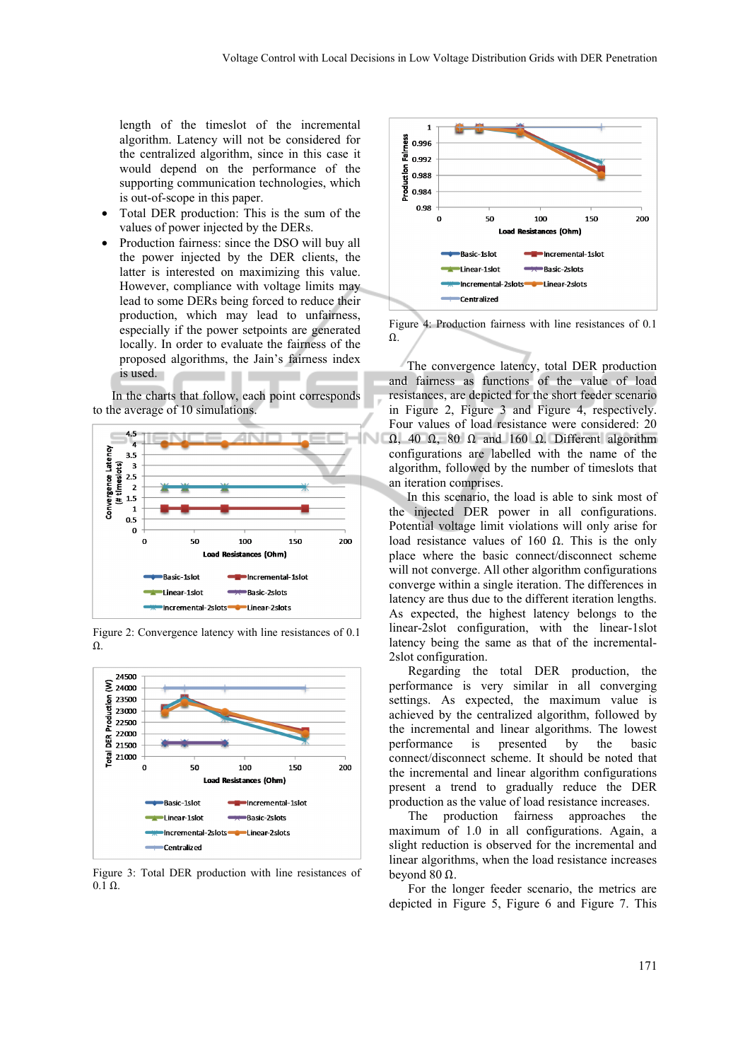length of the timeslot of the incremental algorithm. Latency will not be considered for the centralized algorithm, since in this case it would depend on the performance of the supporting communication technologies, which is out-of-scope in this paper.

- Total DER production: This is the sum of the values of power injected by the DERs.
- Production fairness: since the DSO will buy all the power injected by the DER clients, the latter is interested on maximizing this value. However, compliance with voltage limits may lead to some DERs being forced to reduce their production, which may lead to unfairness, especially if the power setpoints are generated locally. In order to evaluate the fairness of the proposed algorithms, the Jain's fairness index is used.

In the charts that follow, each point corresponds to the average of 10 simulations.



Figure 2: Convergence latency with line resistances of 0.1 Ω.



Figure 3: Total DER production with line resistances of  $0.1 \Omega$ .



Figure 4: Production fairness with line resistances of 0.1 Ω.

The convergence latency, total DER production and fairness as functions of the value of load resistances, are depicted for the short feeder scenario in Figure 2, Figure 3 and Figure 4, respectively. Four values of load resistance were considered: 20  $Ω$ , 40  $Ω$ , 80  $Ω$  and 160  $Ω$ . Different algorithm configurations are labelled with the name of the algorithm, followed by the number of timeslots that an iteration comprises.

In this scenario, the load is able to sink most of the injected DER power in all configurations. Potential voltage limit violations will only arise for load resistance values of 160  $Ω$ . This is the only place where the basic connect/disconnect scheme will not converge. All other algorithm configurations converge within a single iteration. The differences in latency are thus due to the different iteration lengths. As expected, the highest latency belongs to the linear-2slot configuration, with the linear-1slot latency being the same as that of the incremental-2slot configuration.

Regarding the total DER production, the performance is very similar in all converging settings. As expected, the maximum value is achieved by the centralized algorithm, followed by the incremental and linear algorithms. The lowest performance is presented by the basic connect/disconnect scheme. It should be noted that the incremental and linear algorithm configurations present a trend to gradually reduce the DER production as the value of load resistance increases.

The production fairness approaches the maximum of 1.0 in all configurations. Again, a slight reduction is observed for the incremental and linear algorithms, when the load resistance increases beyond 80 Ω.

For the longer feeder scenario, the metrics are depicted in Figure 5, Figure 6 and Figure 7. This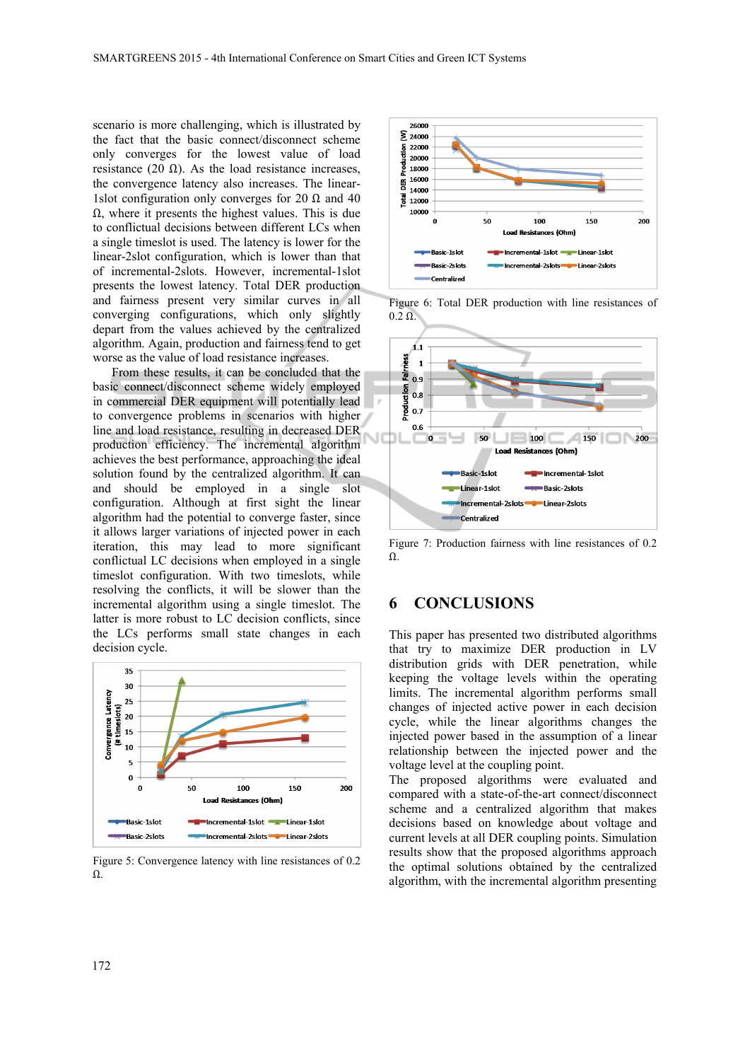scenario is more challenging, which is illustrated by the fact that the basic connect/disconnect scheme only converges for the lowest value of load resistance (20 Ω). As the load resistance increases, the convergence latency also increases. The linear-1slot configuration only converges for 20  $\Omega$  and 40  $Ω$ , where it presents the highest values. This is due to conflictual decisions between different LCs when a single timeslot is used. The latency is lower for the linear-2slot configuration, which is lower than that of incremental-2slots. However, incremental-1slot presents the lowest latency. Total DER production and fairness present very similar curves in all converging configurations, which only slightly depart from the values achieved by the centralized algorithm. Again, production and fairness tend to get worse as the value of load resistance increases.

From these results, it can be concluded that the basic connect/disconnect scheme widely employed in commercial DER equipment will potentially lead to convergence problems in scenarios with higher line and load resistance, resulting in decreased DER production efficiency. The incremental algorithm achieves the best performance, approaching the ideal solution found by the centralized algorithm. It can and should be employed in a single slot configuration. Although at first sight the linear algorithm had the potential to converge faster, since it allows larger variations of injected power in each iteration, this may lead to more significant conflictual LC decisions when employed in a single timeslot configuration. With two timeslots, while resolving the conflicts, it will be slower than the incremental algorithm using a single timeslot. The latter is more robust to LC decision conflicts, since the LCs performs small state changes in each decision cycle.



Figure 5: Convergence latency with line resistances of 0.2 Ω.



Figure 6: Total DER production with line resistances of  $0.2$  Ω.



Figure 7: Production fairness with line resistances of 0.2 Ω.

## **6 CONCLUSIONS**

This paper has presented two distributed algorithms that try to maximize DER production in LV distribution grids with DER penetration, while keeping the voltage levels within the operating limits. The incremental algorithm performs small changes of injected active power in each decision cycle, while the linear algorithms changes the injected power based in the assumption of a linear relationship between the injected power and the voltage level at the coupling point.

The proposed algorithms were evaluated and compared with a state-of-the-art connect/disconnect scheme and a centralized algorithm that makes decisions based on knowledge about voltage and current levels at all DER coupling points. Simulation results show that the proposed algorithms approach the optimal solutions obtained by the centralized algorithm, with the incremental algorithm presenting